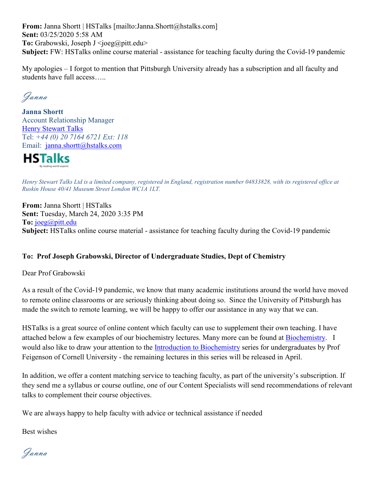**From:** Janna Shortt | HSTalks [mailto:Janna.Shortt@hstalks.com] **Sent:** 03/25/2020 5:58 AM **To:** Grabowski, Joseph J <joeg@pitt.edu> **Subject:** FW: HSTalks online course material - assistance for teaching faculty during the Covid-19 pandemic

My apologies – I forgot to mention that Pittsburgh University already has a subscription and all faculty and students have full access…..

Janna

**Janna Shortt** Account Relationship Manager Henry [Stewart](https://nam05.safelinks.protection.outlook.com/?url=https%3A%2F%2Fhstalks.com%2F&data=02%7C01%7Cjoeg%40pitt.edu%7C2ffe4d9cf44e4529c4b108d7d0a3101d%7C9ef9f489e0a04eeb87cc3a526112fd0d%7C1%7C0%7C637207271090884919&sdata=HIsNHQHSEWqMgBNeyYoADQIQMW8%2BzuG%2FxiKL6nZWxc0%3D&reserved=0) Talks Tel: *+44 (0) 20 7164 6721 Ext: 118* Email: [janna.shortt@hstalks.com](mailto:janna.shortt@hstalks.com)



Henry Stewart Talks Ltd is a limited company, registered in England, registration number 04833828, with its registered office at *Ruskin House 40/41 Museum Street London WC1A 1LT.*

**From:** Janna Shortt | HSTalks **Sent:** Tuesday, March 24, 2020 3:35 PM **To:** [joeg@pitt.edu](mailto:joeg@pitt.edu) **Subject:** HSTalks online course material - assistance for teaching faculty during the Covid-19 pandemic

#### **To: Prof Joseph Grabowski, Director of Undergraduate Studies, Dept of Chemistry**

Dear Prof Grabowski

As a result of the Covid-19 pandemic, we know that many academic institutions around the world have moved to remote online classrooms or are seriously thinking about doing so. Since the University of Pittsburgh has made the switch to remote learning, we will be happy to offer our assistance in any way that we can.

HSTalks is a great source of online content which faculty can use to supplement their own teaching. I have attached below a few examples of our biochemistry lectures. Many more can be found at [Biochemistry.](https://nam05.safelinks.protection.outlook.com/?url=https%3A%2F%2Fhstalks.com%2Fcategory%2F755%2Fbiochemistry%2F%3Fbiosci&data=02%7C01%7Cjoeg%40pitt.edu%7C2ffe4d9cf44e4529c4b108d7d0a3101d%7C9ef9f489e0a04eeb87cc3a526112fd0d%7C1%7C0%7C637207271090894915&sdata=webnX%2Fh5%2FjqE64U63%2BIKhQ1BzPguo0k1RDpl82yj%2FJ4%3D&reserved=0) I would also like to draw your attention to the [Introduction to Biochemistry](https://nam05.safelinks.protection.outlook.com/?url=https%3A%2F%2Fhstalks.com%2Fplaylist%2F1043%2Fintroduction-to-biochemistry-undergraduate-series%2F%3Fbiosci&data=02%7C01%7Cjoeg%40pitt.edu%7C2ffe4d9cf44e4529c4b108d7d0a3101d%7C9ef9f489e0a04eeb87cc3a526112fd0d%7C1%7C0%7C637207271090894915&sdata=IFZKUKY4krygaPAJBJDN%2FWHzs9ZZ6pCyY1JhYblB3mE%3D&reserved=0) series for undergraduates by Prof Feigenson of Cornell University - the remaining lectures in this series will be released in April.

In addition, we offer a content matching service to teaching faculty, as part of the university's subscription. If they send me a syllabus or course outline, one of our Content Specialists will send recommendations of relevant talks to complement their course objectives.

We are always happy to help faculty with advice or technical assistance if needed

Best wishes

Janna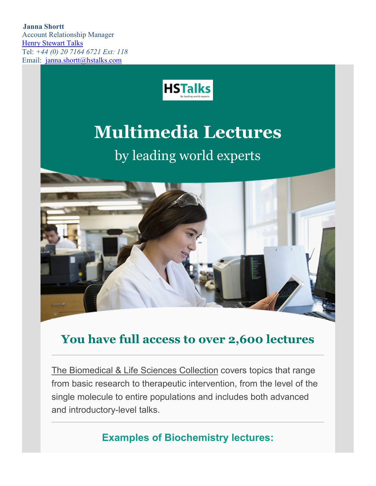**Janna Shortt** Account Relationship Manager Henry [Stewart](https://nam05.safelinks.protection.outlook.com/?url=https%3A%2F%2Fhstalks.com%2F&data=02%7C01%7Cjoeg%40pitt.edu%7C2ffe4d9cf44e4529c4b108d7d0a3101d%7C9ef9f489e0a04eeb87cc3a526112fd0d%7C1%7C0%7C637207271090904913&sdata=2RXaf1zd%2BORppYwBA4BDnAUsNd8NWxwo5Gt1heKupSI%3D&reserved=0) Talks Tel: *+44 (0) 20 7164 6721 Ext: 118* Email: [janna.shortt@hstalks.com](mailto:janna.shortt@hstalks.com)



## **Multimedia Lectures**

## by leading world experts



### **You have full access to over 2,600 lectures**

[The Biomedical & Life Sciences Collection](https://nam05.safelinks.protection.outlook.com/?url=https%3A%2F%2Fhstalks.com%2Fbiosci&data=02%7C01%7Cjoeg%40pitt.edu%7C2ffe4d9cf44e4529c4b108d7d0a3101d%7C9ef9f489e0a04eeb87cc3a526112fd0d%7C1%7C0%7C637207271090914914&sdata=t9BRXeFrja7t1k06Kmv3jxEO7pimMXyiFYeMPgeSwOE%3D&reserved=0) covers topics that range from basic research to therapeutic intervention, from the level of the single molecule to entire populations and includes both advanced and introductory-level talks.

**Examples of Biochemistry lectures:**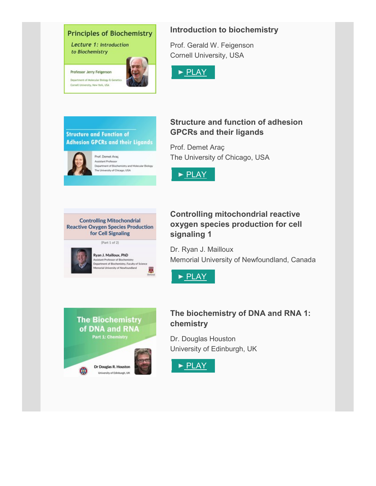

#### **Introduction to biochemistry**

Prof. Gerald W. Feigenson Cornell University, USA





#### **Structure and function of adhesion GPCRs and their ligands**

Prof. Demet Araç The University of Chicago, USA





#### **Controlling mitochondrial reactive oxygen species production for cell signaling 1**

Dr. Ryan J. Mailloux Memorial University of Newfoundland, Canada





#### **The biochemistry of DNA and RNA 1: chemistry**

Dr. Douglas Houston University of Edinburgh, UK

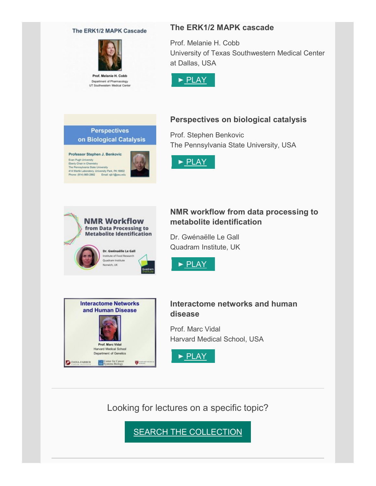#### The ERK1/2 MAPK Cascade



Prof. Melanie H. Cobb Department of Pharmacology UT Southwestern Medical Center

**Perspectives** on Biological Catalysis

Professor Stephen J. Benkovic

Even Pugh University<br>Eberly Chair in Chemisty<br>The Pennsylvania State University<br>414 Wartik Laboratory, University Park, PA 16602<br>Phone: (814) 865-2882 Email: sph (@pus.edu

#### **The ERK1/2 MAPK cascade**

Prof. Melanie H. Cobb University of Texas Southwestern Medical Center at Dallas, USA



#### **Perspectives on biological catalysis**

Prof. Stephen Benkovic The Pennsylvania State University, USA





#### **NMR workflow from data processing to metabolite identification**

Dr. Gwénaëlle Le Gall Quadram Institute, UK





#### **Interactome networks and human disease**

Prof. Marc Vidal Harvard Medical School, USA



Looking for lectures on a specific topic?

**[SEARCH THE COLLECTION](https://nam05.safelinks.protection.outlook.com/?url=https%3A%2F%2Fhstalks.com%2Fbiosci&data=02%7C01%7Cjoeg%40pitt.edu%7C2ffe4d9cf44e4529c4b108d7d0a3101d%7C9ef9f489e0a04eeb87cc3a526112fd0d%7C1%7C0%7C637207271091014860&sdata=CaZmeNrPjLa03%2FxWDKYOfePqc5%2BrAKbfioFbfC0vVYY%3D&reserved=0)**